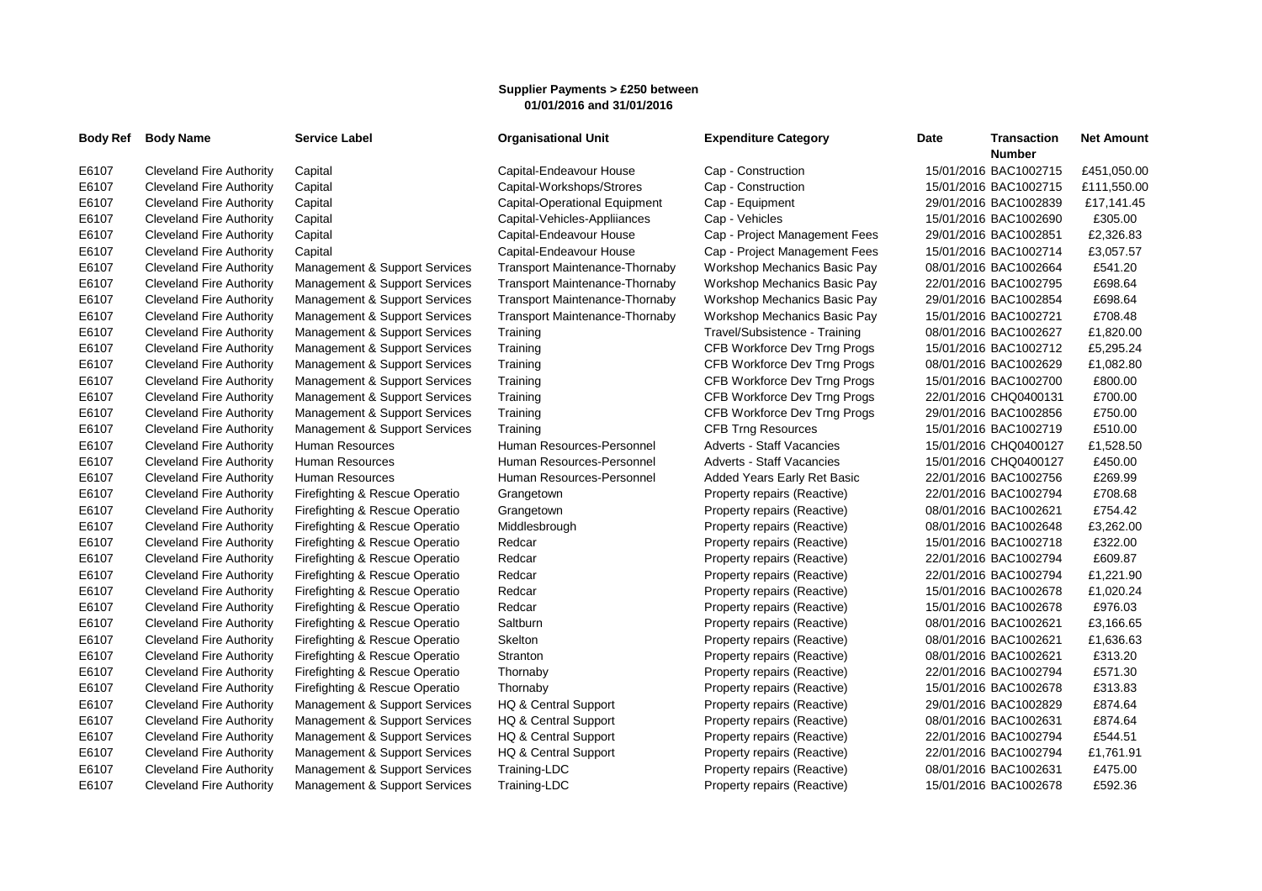## **Supplier Payments > £250 between 01/01/2016 and 31/01/2016**

| Body Ref | <b>Body Name</b>                | <b>Service Label</b>           | <b>Organisational Unit</b>            | <b>Expenditure Category</b>      | <b>Transaction</b><br>Date<br><b>Number</b> | <b>Net Amount</b> |
|----------|---------------------------------|--------------------------------|---------------------------------------|----------------------------------|---------------------------------------------|-------------------|
| E6107    | <b>Cleveland Fire Authority</b> | Capital                        | Capital-Endeavour House               | Cap - Construction               | 15/01/2016 BAC1002715                       | £451,050.00       |
| E6107    | <b>Cleveland Fire Authority</b> | Capital                        | Capital-Workshops/Strores             | Cap - Construction               | 15/01/2016 BAC1002715                       | £111,550.00       |
| E6107    | Cleveland Fire Authority        | Capital                        | Capital-Operational Equipment         | Cap - Equipment                  | 29/01/2016 BAC1002839                       | £17,141.45        |
| E6107    | <b>Cleveland Fire Authority</b> | Capital                        | Capital-Vehicles-Appliiances          | Cap - Vehicles                   | 15/01/2016 BAC1002690                       | £305.00           |
| E6107    | <b>Cleveland Fire Authority</b> | Capital                        | Capital-Endeavour House               | Cap - Project Management Fees    | 29/01/2016 BAC1002851                       | £2,326.83         |
| E6107    | <b>Cleveland Fire Authority</b> | Capital                        | Capital-Endeavour House               | Cap - Project Management Fees    | 15/01/2016 BAC1002714                       | £3,057.57         |
| E6107    | <b>Cleveland Fire Authority</b> | Management & Support Services  | <b>Transport Maintenance-Thornaby</b> | Workshop Mechanics Basic Pay     | 08/01/2016 BAC1002664                       | £541.20           |
| E6107    | <b>Cleveland Fire Authority</b> | Management & Support Services  | <b>Transport Maintenance-Thornaby</b> | Workshop Mechanics Basic Pay     | 22/01/2016 BAC1002795                       | £698.64           |
| E6107    | <b>Cleveland Fire Authority</b> | Management & Support Services  | Transport Maintenance-Thornaby        | Workshop Mechanics Basic Pay     | 29/01/2016 BAC1002854                       | £698.64           |
| E6107    | <b>Cleveland Fire Authority</b> | Management & Support Services  | <b>Transport Maintenance-Thornaby</b> | Workshop Mechanics Basic Pay     | 15/01/2016 BAC1002721                       | £708.48           |
| E6107    | <b>Cleveland Fire Authority</b> | Management & Support Services  | Training                              | Travel/Subsistence - Training    | 08/01/2016 BAC1002627                       | £1,820.00         |
| E6107    | <b>Cleveland Fire Authority</b> | Management & Support Services  | Training                              | CFB Workforce Dev Trng Progs     | 15/01/2016 BAC1002712                       | £5,295.24         |
| E6107    | <b>Cleveland Fire Authority</b> | Management & Support Services  | Training                              | CFB Workforce Dev Trng Progs     | 08/01/2016 BAC1002629                       | £1,082.80         |
| E6107    | <b>Cleveland Fire Authority</b> | Management & Support Services  | Training                              | CFB Workforce Dev Trng Progs     | 15/01/2016 BAC1002700                       | £800.00           |
| E6107    | <b>Cleveland Fire Authority</b> | Management & Support Services  | Training                              | CFB Workforce Dev Trng Progs     | 22/01/2016 CHQ0400131                       | £700.00           |
| E6107    | <b>Cleveland Fire Authority</b> | Management & Support Services  | Training                              | CFB Workforce Dev Trng Progs     | 29/01/2016 BAC1002856                       | £750.00           |
| E6107    | <b>Cleveland Fire Authority</b> | Management & Support Services  | Training                              | <b>CFB Trng Resources</b>        | 15/01/2016 BAC1002719                       | £510.00           |
| E6107    | <b>Cleveland Fire Authority</b> | Human Resources                | Human Resources-Personnel             | Adverts - Staff Vacancies        | 15/01/2016 CHQ0400127                       | £1,528.50         |
| E6107    | <b>Cleveland Fire Authority</b> | <b>Human Resources</b>         | Human Resources-Personnel             | <b>Adverts - Staff Vacancies</b> | 15/01/2016 CHQ0400127                       | £450.00           |
| E6107    | <b>Cleveland Fire Authority</b> | <b>Human Resources</b>         | Human Resources-Personnel             | Added Years Early Ret Basic      | 22/01/2016 BAC1002756                       | £269.99           |
| E6107    | <b>Cleveland Fire Authority</b> | Firefighting & Rescue Operatio | Grangetown                            | Property repairs (Reactive)      | 22/01/2016 BAC1002794                       | £708.68           |
| E6107    | <b>Cleveland Fire Authority</b> | Firefighting & Rescue Operatio | Grangetown                            | Property repairs (Reactive)      | 08/01/2016 BAC1002621                       | £754.42           |
| E6107    | <b>Cleveland Fire Authority</b> | Firefighting & Rescue Operatio | Middlesbrough                         | Property repairs (Reactive)      | 08/01/2016 BAC1002648                       | £3,262.00         |
| E6107    | Cleveland Fire Authority        | Firefighting & Rescue Operatio | Redcar                                | Property repairs (Reactive)      | 15/01/2016 BAC1002718                       | £322.00           |
| E6107    | <b>Cleveland Fire Authority</b> | Firefighting & Rescue Operatio | Redcar                                | Property repairs (Reactive)      | 22/01/2016 BAC1002794                       | £609.87           |
| E6107    | <b>Cleveland Fire Authority</b> | Firefighting & Rescue Operatio | Redcar                                | Property repairs (Reactive)      | 22/01/2016 BAC1002794                       | £1,221.90         |
| E6107    | <b>Cleveland Fire Authority</b> | Firefighting & Rescue Operatio | Redcar                                | Property repairs (Reactive)      | 15/01/2016 BAC1002678                       | £1,020.24         |
| E6107    | <b>Cleveland Fire Authority</b> | Firefighting & Rescue Operatio | Redcar                                | Property repairs (Reactive)      | 15/01/2016 BAC1002678                       | £976.03           |
| E6107    | Cleveland Fire Authority        | Firefighting & Rescue Operatio | Saltburn                              | Property repairs (Reactive)      | 08/01/2016 BAC1002621                       | £3,166.65         |
| E6107    | <b>Cleveland Fire Authority</b> | Firefighting & Rescue Operatio | Skelton                               | Property repairs (Reactive)      | 08/01/2016 BAC1002621                       | £1,636.63         |
| E6107    | <b>Cleveland Fire Authority</b> | Firefighting & Rescue Operatio | Stranton                              | Property repairs (Reactive)      | 08/01/2016 BAC1002621                       | £313.20           |
| E6107    | <b>Cleveland Fire Authority</b> | Firefighting & Rescue Operatio | Thornaby                              | Property repairs (Reactive)      | 22/01/2016 BAC1002794                       | £571.30           |
| E6107    | <b>Cleveland Fire Authority</b> | Firefighting & Rescue Operatio | Thornaby                              | Property repairs (Reactive)      | 15/01/2016 BAC1002678                       | £313.83           |
| E6107    | <b>Cleveland Fire Authority</b> | Management & Support Services  | HQ & Central Support                  | Property repairs (Reactive)      | 29/01/2016 BAC1002829                       | £874.64           |
| E6107    | <b>Cleveland Fire Authority</b> | Management & Support Services  | HQ & Central Support                  | Property repairs (Reactive)      | 08/01/2016 BAC1002631                       | £874.64           |
| E6107    | <b>Cleveland Fire Authority</b> | Management & Support Services  | HQ & Central Support                  | Property repairs (Reactive)      | 22/01/2016 BAC1002794                       | £544.51           |
| E6107    | <b>Cleveland Fire Authority</b> | Management & Support Services  | HQ & Central Support                  | Property repairs (Reactive)      | 22/01/2016 BAC1002794                       | £1,761.91         |
| E6107    | <b>Cleveland Fire Authority</b> | Management & Support Services  | Training-LDC                          | Property repairs (Reactive)      | 08/01/2016 BAC1002631                       | £475.00           |
| E6107    | <b>Cleveland Fire Authority</b> | Management & Support Services  | Training-LDC                          | Property repairs (Reactive)      | 15/01/2016 BAC1002678                       | £592.36           |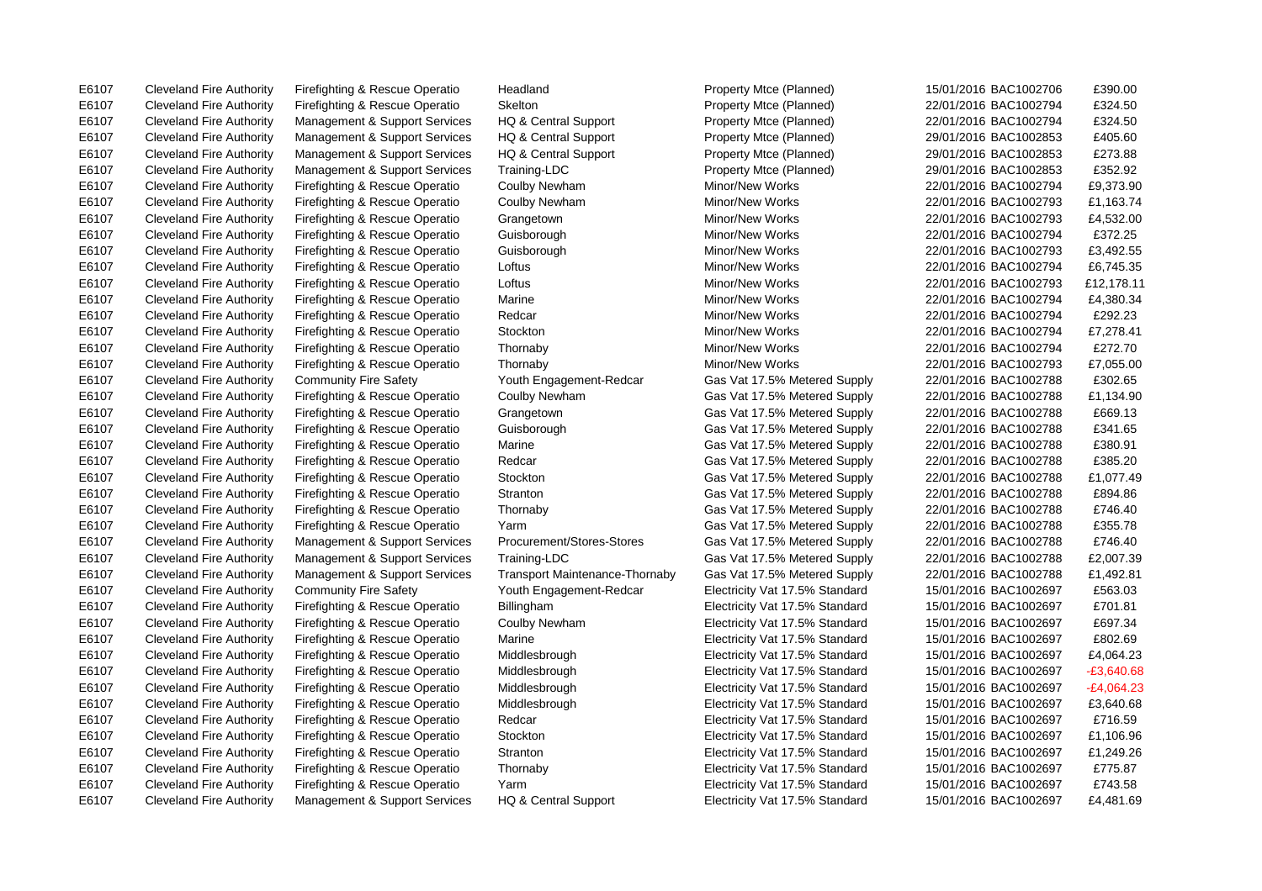E6107 Cleveland Fire Authority Firefighting & Rescue Operatio Headland Property Mtce (Planned) 15/01/2016 BAC1002706 £390.00 E6107 Cleveland Fire Authority Firefighting & Rescue Operatio Marine Gas Vat 17.5% Metered Supply 22/01/2016 BAC1002788 £380.91 E6107 Cleveland Fire Authority Firefighting & Rescue Operatio Billingham Electricity Vat 17.5% Standard 15/01/2016 BAC1002697 £701.81

E6107 Cleveland Fire Authority Firefighting & Rescue Operatio Skelton Property Mtce (Planned) 22/01/2016 BAC1002794 £324.50 E6107 Cleveland Fire Authority Management & Support Services HQ & Central Support Property Mtce (Planned) 22/01/2016 BAC1002794 £324.50 E6107 Cleveland Fire Authority Management & Support Services HQ & Central Support Property Mtce (Planned) 29/01/2016 BAC1002853 £405.60 E6107 Cleveland Fire Authority Management & Support Services HQ & Central Support Property Mtce (Planned) 29/01/2016 BAC1002853 £273.88 E6107 Cleveland Fire Authority Management & Support Services Training-LDC Property Mtce (Planned) 29/01/2016 BAC1002853 £352.92 E6107 Cleveland Fire Authority Firefighting & Rescue Operatio Coulby Newham Minor/New Works 22/01/2016 BAC1002794 £9,373.90 E6107 Cleveland Fire Authority Firefighting & Rescue Operatio Coulby Newham Minor/New Works 22/01/2016 BAC1002793 £1,163.74 E6107 Cleveland Fire Authority Firefighting & Rescue Operatio Grangetown Minor/New Works 22/01/2016 BAC1002793 £4,532.00 E6107 Cleveland Fire Authority Firefighting & Rescue Operatio Guisborough Minor/New Works 22/01/2016 BAC1002794 £372.25 E6107 Cleveland Fire Authority Firefighting & Rescue Operatio Guisborough Minor/New Works 22/01/2016 BAC1002793 £3,492.55 E6107 Cleveland Fire Authority Firefighting & Rescue Operatio Loftus Communication Minor/New Works 22/01/2016 BAC1002794 £6.745.35 E6107 Cleveland Fire Authority Firefighting & Rescue Operatio Loftus Minor/New Works Minor/New Works 22/01/2016 BAC1002793 £12,178.11 E6107 Cleveland Fire Authority Firefighting & Rescue Operatio Marine Minor Metal Minor/New Works 22/01/2016 BAC1002794 £4.380.34 E6107 Cleveland Fire Authority Firefighting & Rescue Operatio Redcar Minor/New Works 22/01/2016 BAC1002794 £292.23 E6107 Cleveland Fire Authority Firefighting & Rescue Operatio Stockton Minor/New Works 22/01/2016 BAC1002794 £7,278.41 E6107 Cleveland Fire Authority Firefighting & Rescue Operatio Thornaby Minor/New Works 22/01/2016 BAC1002794 £272.70 E6107 Cleveland Fire Authority Firefighting & Rescue Operatio Thornaby Minor/New Works 22/01/2016 BAC1002793 £7,055.00 E6107 Cleveland Fire Authority Community Fire Safety Youth Engagement-Redcar Gas Vat 17.5% Metered Supply 22/01/2016 BAC1002788 £302.65 E6107 Cleveland Fire Authority Firefighting & Rescue Operatio Coulby Newham Gas Vat 17.5% Metered Supply 22/01/2016 BAC1002788 £1,134.90 E6107 Cleveland Fire Authority Firefighting & Rescue Operatio Grangetown Gas Vat 17.5% Metered Supply 22/01/2016 BAC1002788 £669.13 E6107 Cleveland Fire Authority Firefighting & Rescue Operatio Guisborough Gas Vat 17.5% Metered Supply 22/01/2016 BAC1002788 £341.65 E6107 Cleveland Fire Authority Firefighting & Rescue Operatio Redcar Gas Vat 17.5% Metered Supply 22/01/2016 BAC1002788 £385.20 E6107 Cleveland Fire Authority Firefighting & Rescue Operatio Stockton Gas Vat 17.5% Metered Supply 22/01/2016 BAC1002788 £1,077.49 E6107 Cleveland Fire Authority Firefighting & Rescue Operatio Stranton Gas Vat 17.5% Metered Supply 22/01/2016 BAC1002788 £894.86 E6107 Cleveland Fire Authority Firefighting & Rescue Operatio Thornaby Gas Vat 17.5% Metered Supply 22/01/2016 BAC1002788 £746.40 E6107 Cleveland Fire Authority Firefighting & Rescue Operatio Yarm Gas Vat 17.5% Metered Supply 22/01/2016 BAC1002788 £355.78 E6107 Cleveland Fire Authority Management & Support Services Procurement/Stores-Stores Gas Vat 17.5% Metered Supply 22/01/2016 BAC1002788 £746.40 E6107 Cleveland Fire Authority Management & Support Services Training-LDC Gas Vat 17.5% Metered Supply 22/01/2016 BAC1002788 £2,007.39 E6107 Cleveland Fire Authority Management & Support Services Transport Maintenance-Thornaby Gas Vat 17.5% Metered Supply 22/01/2016 BAC1002788 £1,492.81 E6107 Cleveland Fire Authority Community Fire Safety Youth Engagement-Redcar Electricity Vat 17.5% Standard 15/01/2016 BAC1002697 £563.03 E6107 Cleveland Fire Authority Firefighting & Rescue Operatio Coulby Newham Electricity Vat 17.5% Standard 15/01/2016 BAC1002697 £697.34 E6107 Cleveland Fire Authority Firefighting & Rescue Operatio Marine Electricity Vat 17.5% Standard 15/01/2016 BAC1002697 £802.69 E6107 Cleveland Fire Authority Firefighting & Rescue Operatio Middlesbrough Electricity Vat 17.5% Standard 15/01/2016 BAC1002697 £4.064.23 E6107 Cleveland Fire Authority Firefighting & Rescue Operatio Middlesbrough Electricity Vat 17.5% Standard 15/01/2016 BAC1002697 -£3,640.68 E6107 Cleveland Fire Authority Firefighting & Rescue Operatio Middlesbrough Electricity Vat 17.5% Standard 15/01/2016 BAC1002697 -£4.064.23 E6107 Cleveland Fire Authority Firefighting & Rescue Operatio Middlesbrough Electricity Vat 17.5% Standard 15/01/2016 BAC1002697 £3,640.68 E6107 Cleveland Fire Authority Firefighting & Rescue Operatio Redcar Electricity Vat 17.5% Standard 15/01/2016 BAC1002697 £716.59 E6107 Cleveland Fire Authority Firefighting & Rescue Operatio Stockton Electricity Vat 17.5% Standard 15/01/2016 BAC1002697 £1,106.96 E6107 Cleveland Fire Authority Firefighting & Rescue Operatio Stranton Electricity Vat 17.5% Standard 15/01/2016 BAC1002697 £1,249.26 E6107 Cleveland Fire Authority Firefighting & Rescue Operatio Thornaby Electricity Vat 17.5% Standard 15/01/2016 BAC1002697 £775.87 E6107 Cleveland Fire Authority Firefighting & Rescue Operatio Yarm Electricity Vat 17.5% Standard 15/01/2016 BAC1002697 £743.58 E6107 Cleveland Fire Authority Management & Support Services HQ & Central Support Electricity Vat 17.5% Standard 15/01/2016 BAC1002697 £4,481.69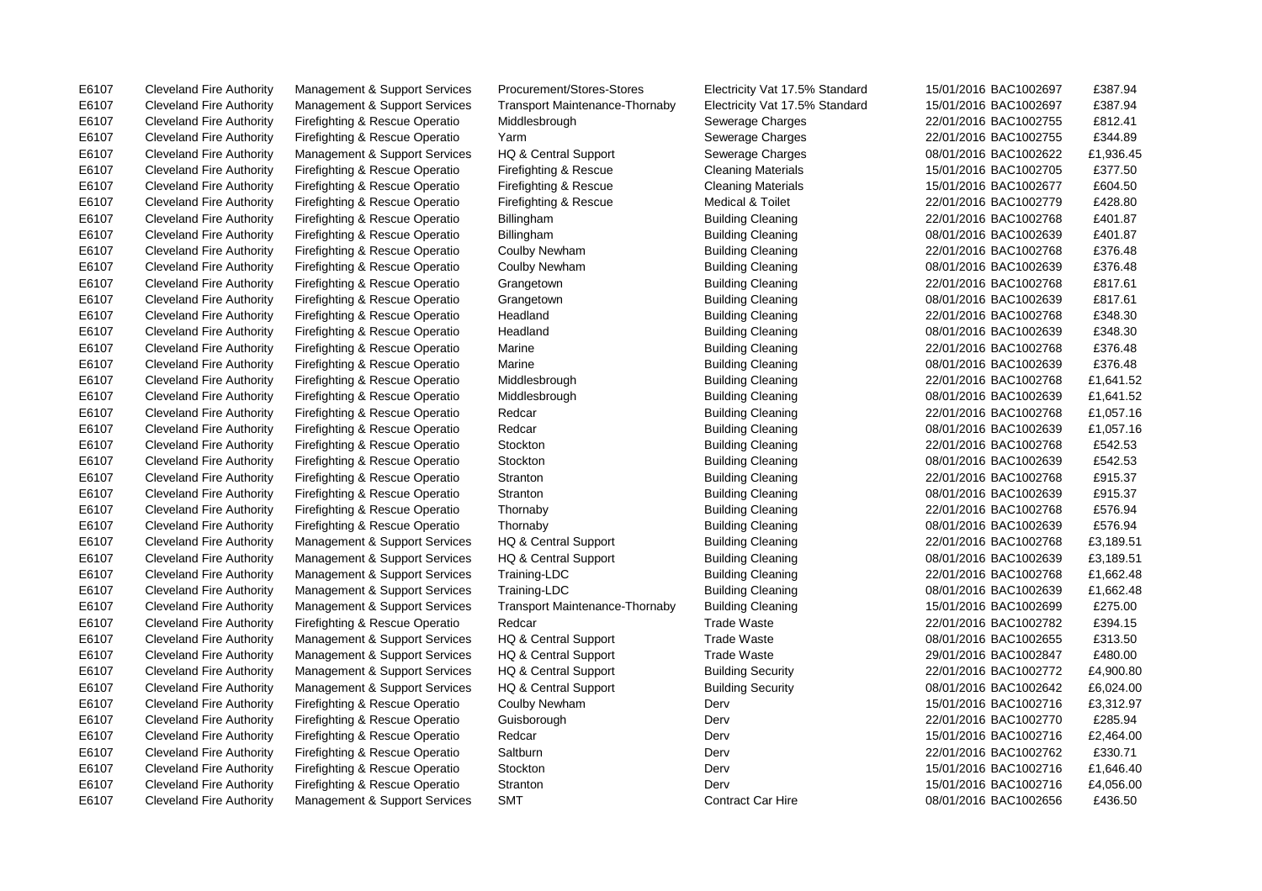E6107 Cleveland Fire Authority Management & Support Services Transport Maintenance-Thornaby Electricity Vat 17.5% Standard 15/01/2016 BAC1002697 £387.94 E6107 Cleveland Fire Authority Firefighting & Rescue Operatio Middlesbrough Sewerage Charges 22/01/2016 BAC1002755 £812.41 E6107 Cleveland Fire Authority Firefighting & Rescue Operatio Yarm Sewerage Charges 22/01/2016 BAC1002755 £344.89 E6107 Cleveland Fire Authority Management & Support Services HQ & Central Support Sewerage Charges 68/01/2016 BAC1002622 £1,936.45 E6107 Cleveland Fire Authority Firefighting & Rescue Operatio Firefighting & Rescue Cleaning Materials 15/01/2016 BAC1002705 £377.50 E6107 Cleveland Fire Authority Firefighting & Rescue Operatio Firefighting & Rescue Cleaning Materials 15/01/2016 BAC1002677 £604.50 E6107 Cleveland Fire Authority Firefighting & Rescue Operatio Firefighting & Rescue Medical & Toilet 22/01/2016 BAC1002779 £428.80 E6107 Cleveland Fire Authority Firefighting & Rescue Operatio Billingham Building Cleaning 22/01/2016 BAC1002768 £401.87 E6107 Cleveland Fire Authority Firefighting & Rescue Operatio Billingham Building Cleaning 08/01/2016 BAC1002639 £401.87 E6107 Cleveland Fire Authority Firefighting & Rescue Operatio Coulby Newham Building Cleaning 22/01/2016 BAC1002768 £376.48 E6107 Cleveland Fire Authority Firefighting & Rescue Operatio Coulby Newham Building Cleaning 08/01/2016 BAC1002639 £376.48 E6107 Cleveland Fire Authority Firefighting & Rescue Operatio Grangetown Building Cleaning 22/01/2016 BAC1002768 £817.61 E6107 Cleveland Fire Authority Firefighting & Rescue Operatio Grangetown Building Cleaning Cleaning 08/01/2016 BAC1002639 £817.61 E6107 Cleveland Fire Authority Firefighting & Rescue Operatio Headland Building Cleaning 22/01/2016 BAC1002768 £348.30 E6107 Cleveland Fire Authority Firefighting & Rescue Operatio Headland Building Cleaning 08/01/2016 BAC1002639 £348.30 E6107 Cleveland Fire Authority Firefighting & Rescue Operatio Marine Building Cleaning 22/01/2016 BAC1002768 £376.48 E6107 Cleveland Fire Authority Firefighting & Rescue Operatio Marine Building Cleaning Building Cleaning 08/01/2016 BAC1002639 £376.48 E6107 Cleveland Fire Authority Firefighting & Rescue Operatio Middlesbrough Building Cleaning 22/01/2016 BAC1002768 £1,641.52 E6107 Cleveland Fire Authority Firefighting & Rescue Operatio Middlesbrough Building Cleaning Cleaning 08/01/2016 BAC1002639 £1,641.52 E6107 Cleveland Fire Authority Firefighting & Rescue Operatio Redcar Building Cleaning 22/01/2016 BAC1002768 £1,057.16 E6107 Cleveland Fire Authority Firefighting & Rescue Operatio Redcar Building Cleaning Building Cleaning 08/01/2016 BAC1002639 £1,057.16 E6107 Cleveland Fire Authority Firefighting & Rescue Operatio Stockton Building Cleaning 22/01/2016 BAC1002768 £542.53 E6107 Cleveland Fire Authority Firefighting & Rescue Operatio Stockton Building Cleaning 08/01/2016 BAC1002639 £542.53 E6107 Cleveland Fire Authority Firefighting & Rescue Operatio Stranton Building Cleaning 22/01/2016 BAC1002768 £915.37 E6107 Cleveland Fire Authority Firefighting & Rescue Operatio Stranton Building Cleaning **Building Cleaning** 08/01/2016 BAC1002639 £915.37 E6107 Cleveland Fire Authority Firefighting & Rescue Operatio Thornaby Building Cleaning 22/01/2016 BAC1002768 £576.94 E6107 Cleveland Fire Authority Firefighting & Rescue Operatio Thornaby Building Cleaning **Building Cleaning** 08/01/2016 BAC1002639 £576.94 E6107 Cleveland Fire Authority Management & Support Services HQ & Central Support Building Cleaning 22/01/2016 BAC1002768 £3,189.51 E6107 Cleveland Fire Authority Management & Support Services HQ & Central Support Building Cleaning 08/01/2016 BAC1002639 £3,189.51 E6107 Cleveland Fire Authority Management & Support Services Training-LDC Building Cleaning Cleaning 22/01/2016 BAC1002768 £1,662.48 E6107 Cleveland Fire Authority Management & Support Services Training-LDC Building Cleaning Cleaning 08/01/2016 BAC1002639 £1,662.48 E6107 Cleveland Fire Authority Management & Support Services Transport Maintenance-Thornaby Building Cleaning 15/01/2016 BAC1002699 £275.00 E6107 Cleveland Fire Authority Firefighting & Rescue Operatio Redcar Trade Waste 7rade Waste 22/01/2016 BAC1002782 £394.15 E6107 Cleveland Fire Authority Management & Support Services HQ & Central Support Trade Waste 08/01/2016 BAC1002655 £313.50 E6107 Cleveland Fire Authority Management & Support Services HQ & Central Support Trade Waste 29/01/2016 BAC1002847 £480.00 E6107 Cleveland Fire Authority Management & Support Services HQ & Central Support Building Security 22/01/2016 BAC1002772 £4,900.80 E6107 Cleveland Fire Authority Management & Support Services HQ & Central Support Building Security 08/01/2016 BAC1002642 £6,024.00 E6107 Cleveland Fire Authority Firefighting & Rescue Operatio Coulby Newham Derv Derv 15/01/2016 BAC1002716 £3,312.97 E6107 Cleveland Fire Authority Firefighting & Rescue Operatio Guisborough Derv Derv 22/01/2016 BAC1002770 £285.94 E6107 Cleveland Fire Authority Firefighting & Rescue Operatio Redcar Derv Derv Derv 15/01/2016 BAC1002716 £2,464.00 E6107 Cleveland Fire Authority Firefighting & Rescue Operatio Saltburn Derv 22/01/2016 BAC1002762 £330.71 E6107 Cleveland Fire Authority Firefighting & Rescue Operatio Stockton Derv Derv Derv 15/01/2016 BAC1002716 £1,646.40 E6107 Cleveland Fire Authority Firefighting & Rescue Operatio Stranton Derv Derv Derv 15/01/2016 BAC1002716 £4,056.00

E6107 Cleveland Fire Authority Management & Support Services Procurement/Stores-Stores Electricity Vat 17.5% Standard 15/01/2016 BAC1002697 £387.94

E6107 Cleveland Fire Authority Management & Support Services SMT Contract Car Hire 08/01/2016 BAC1002656 £436.50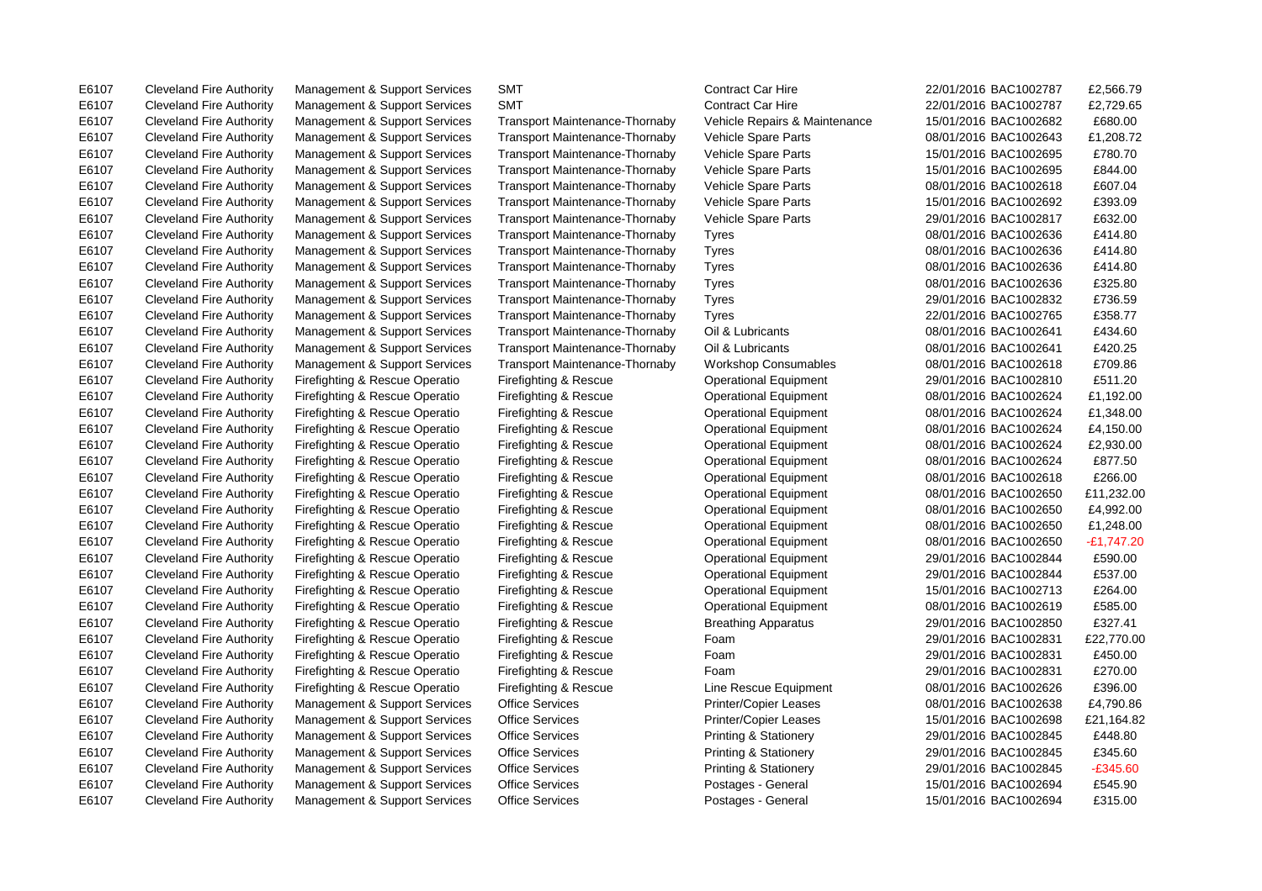E6107 Cleveland Fire Authority Management & Support Services SMT Contract Car Hire 22/01/2016 BAC1002787 £2,566.79

E6107 Cleveland Fire Authority Management & Support Services SMT Contract Car Hire 22/01/2016 BAC1002787 £2,729.65 E6107 Cleveland Fire Authority Management & Support Services Transport Maintenance-Thornaby Vehicle Repairs & Maintenance 15/01/2016 BAC1002682 £680.00 E6107 Cleveland Fire Authority Management & Support Services Transport Maintenance-Thornaby Vehicle Spare Parts 08/01/2016 BAC1002643 £1,208.72 E6107 Cleveland Fire Authority Management & Support Services Transport Maintenance-Thornaby Vehicle Spare Parts 15/01/2016 BAC1002695 £780.70 E6107 Cleveland Fire Authority Management & Support Services Transport Maintenance-Thornaby Vehicle Spare Parts 15/01/2016 BAC1002695 £844.00 E6107 Cleveland Fire Authority Management & Support Services Transport Maintenance-Thornaby Vehicle Spare Parts 08/01/2016 BAC1002618 £607.04 E6107 Cleveland Fire Authority Management & Support Services Transport Maintenance-Thornaby Vehicle Spare Parts 15/01/2016 BAC1002692 £393.09 E6107 Cleveland Fire Authority Management & Support Services Transport Maintenance-Thornaby Vehicle Spare Parts 29/01/2016 BAC1002817 £632.00 E6107 Cleveland Fire Authority Management & Support Services Transport Maintenance-Thornaby Tyres 08/01/2016 BAC1002636 £414.80 E6107 Cleveland Fire Authority Management & Support Services Transport Maintenance-Thornaby Tyres 08/01/2016 BAC1002636 £414.80 E6107 Cleveland Fire Authority Management & Support Services Transport Maintenance-Thornaby Tyres 08/01/2016 BAC1002636 £414.80 E6107 Cleveland Fire Authority Management & Support Services Transport Maintenance-Thornaby Tyres 08/01/2016 BAC1002636 £325.80 E6107 Cleveland Fire Authority Management & Support Services Transport Maintenance-Thornaby Tyres 29/01/2016 BAC1002832 £736.59 E6107 Cleveland Fire Authority Management & Support Services Transport Maintenance-Thornaby Tyres 22/01/2016 BAC1002765 £358.77 E6107 Cleveland Fire Authority Management & Support Services Transport Maintenance-Thornaby Oil & Lubricants 08/01/2016 BAC1002641 £434.60 E6107 Cleveland Fire Authority Management & Support Services Transport Maintenance-Thornaby Oil & Lubricants 08/01/2016 BAC1002641 £420.25 E6107 Cleveland Fire Authority Management & Support Services Transport Maintenance-Thornaby Workshop Consumables 08/01/2016 BAC1002618 £709.86 E6107 Cleveland Fire Authority Firefighting & Rescue Operatio Firefighting & Rescue Operational Equipment 29/01/2016 BAC1002810 £511.20 E6107 Cleveland Fire Authority Firefighting & Rescue Operatio Firefighting & Rescue Operational Equipment 08/01/2016 BAC1002624 £1,192.00 E6107 Cleveland Fire Authority Firefighting & Rescue Operatio Firefighting & Rescue Operational Equipment 08/01/2016 BAC1002624 £1,348.00 E6107 Cleveland Fire Authority Firefighting & Rescue Operatio Firefighting & Rescue Operational Equipment 08/01/2016 BAC1002624 £4,150.00 E6107 Cleveland Fire Authority Firefighting & Rescue Operatio Firefighting & Rescue Operational Equipment 08/01/2016 BAC1002624 £2,930.00 E6107 Cleveland Fire Authority Firefighting & Rescue Operatio Firefighting & Rescue Operational Equipment 08/01/2016 BAC1002624 £877.50 E6107 Cleveland Fire Authority Firefighting & Rescue Operatio Firefighting & Rescue Operational Equipment 08/01/2016 BAC1002618 £266.00 E6107 Cleveland Fire Authority Firefighting & Rescue Operatio Firefighting & Rescue Operational Equipment 08/01/2016 BAC1002650 £11,232.00 E6107 Cleveland Fire Authority Firefighting & Rescue Operatio Firefighting & Rescue Operational Equipment 08/01/2016 BAC1002650 £4,992.00 E6107 Cleveland Fire Authority Firefighting & Rescue Operatio Firefighting & Rescue Operational Equipment 08/01/2016 BAC1002650 £1,248.00 E6107 Cleveland Fire Authority Firefighting & Rescue Operatio Firefighting & Rescue Operational Equipment 08/01/2016 BAC1002650 -£1,747.20 E6107 Cleveland Fire Authority Firefighting & Rescue Operatio Firefighting & Rescue Operational Equipment 29/01/2016 BAC1002844 £590.00 E6107 Cleveland Fire Authority Firefighting & Rescue Operatio Firefighting & Rescue Operational Equipment 29/01/2016 BAC1002844 £537.00 E6107 Cleveland Fire Authority Firefighting & Rescue Operatio Firefighting & Rescue Operational Equipment 15/01/2016 BAC1002713 £264.00 E6107 Cleveland Fire Authority Firefighting & Rescue Operatio Firefighting & Rescue Operational Equipment 08/01/2016 BAC1002619 £585.00 E6107 Cleveland Fire Authority Firefighting & Rescue Operatio Firefighting & Rescue Breathing Apparatus 29/01/2016 BAC1002850 £327.41 E6107 Cleveland Fire Authority Firefighting & Rescue Operatio Firefighting & Rescue Foam 29/01/2016 BAC1002831 £22,770.00 E6107 Cleveland Fire Authority Firefighting & Rescue Operatio Firefighting & Rescue Foam 29/01/2016 BAC1002831 £450.00 E6107 Cleveland Fire Authority Firefighting & Rescue Operatio Firefighting & Rescue Foam 29/01/2016 BAC1002831 £270.00 E6107 Cleveland Fire Authority Firefighting & Rescue Operatio Firefighting & Rescue Line Rescue Equipment 08/01/2016 BAC1002626 £396.00 E6107 Cleveland Fire Authority Management & Support Services Office Services Printer/Copier Leases 08/01/2016 BAC1002638 £4,790.86 E6107 Cleveland Fire Authority Management & Support Services Office Services Printer/Copier Leases 15/01/2016 BAC1002698 £21,164.82 E6107 Cleveland Fire Authority Management & Support Services Office Services Printing & Stationery 29/01/2016 BAC1002845 £448.80 E6107 Cleveland Fire Authority Management & Support Services Office Services Printing & Stationery 29/01/2016 BAC1002845 £345.60 E6107 Cleveland Fire Authority Management & Support Services Office Services Printing & Stationery 29/01/2016 BAC1002845 -£345.60 E6107 Cleveland Fire Authority Management & Support Services Office Services Postages - General 15/01/2016 BAC1002694 £545.90 E6107 Cleveland Fire Authority Management & Support Services Office Services Postages - General 15/01/2016 BAC1002694 £315.00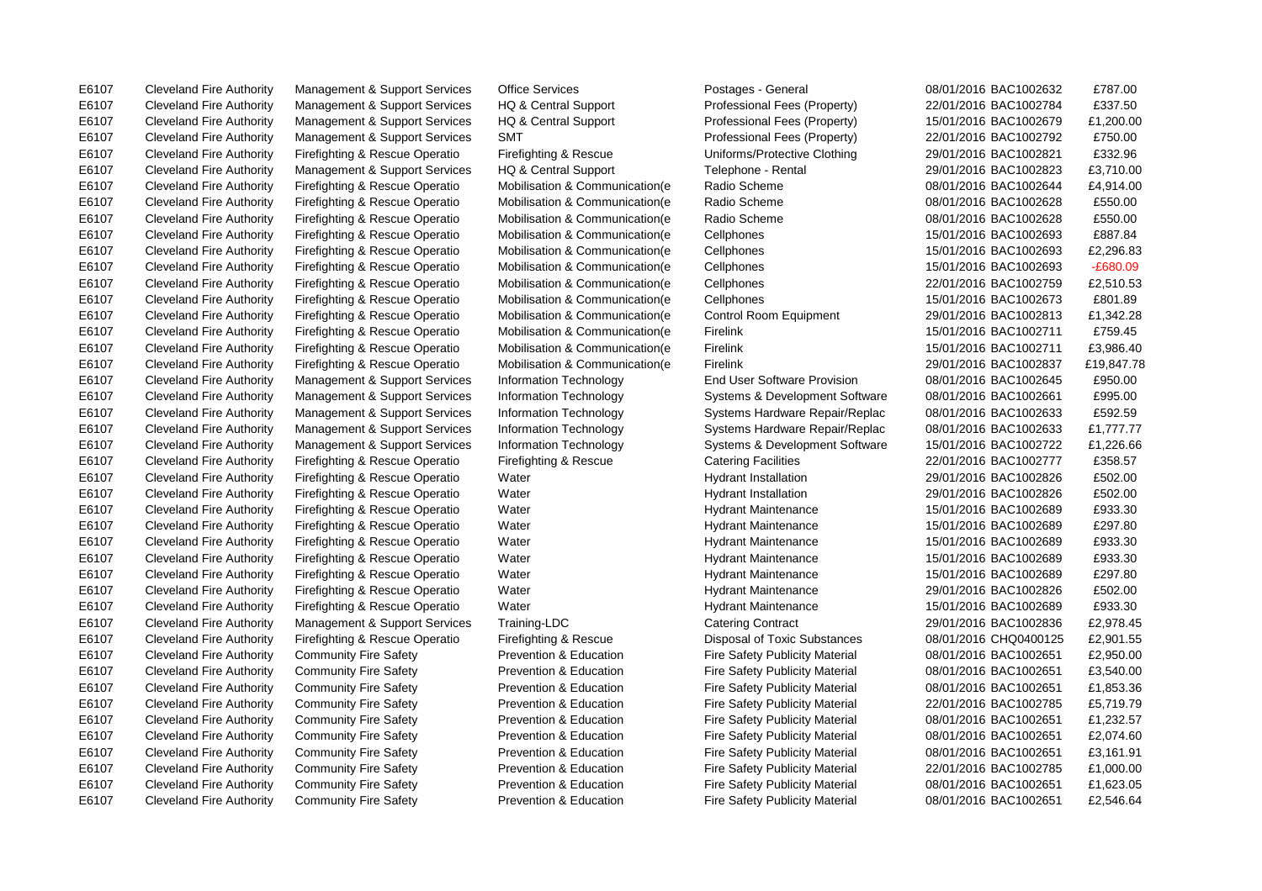E6107 Cleveland Fire Authority Management & Support Services Office Services Postages - General 08/01/2016 BAC1002632 £787.00 E6107 Cleveland Fire Authority Firefighting & Rescue Operatio Mobilisation & Communication(e Cellphones 15/01/2016 BAC1002693 £887.84 E6107 Cleveland Fire Authority Management & Support Services Information Technology Systems & Development Software 08/01/2016 BAC1002661 £995.00 E6107 Cleveland Fire Authority Management & Support Services Information Technology Systems Hardware Repair/Replac 08/01/2016 BAC1002633 £592.59 E6107 Cleveland Fire Authority Firefighting & Rescue Operatio Firefighting & Rescue Catering Facilities 22/01/2016 BAC1002777 £358.57 E6107 Cleveland Fire Authority Firefighting & Rescue Operatio Water Hydrant Installation 29/01/2016 BAC1002826 £502.00 E6107 Cleveland Fire Authority Firefighting & Rescue Operatio Water Hydrant Installation 29/01/2016 BAC1002826 £502.00 E6107 Cleveland Fire Authority Firefighting & Rescue Operatio Water Hydrant Maintenance 15/01/2016 BAC1002689 £933.30 E6107 Cleveland Fire Authority Firefighting & Rescue Operatio Water National Hydrant Maintenance 15/01/2016 BAC1002689 £297.80 E6107 Cleveland Fire Authority Firefighting & Rescue Operatio Water Hydrant Maintenance 15/01/2016 BAC1002689 £933.30 E6107 Cleveland Fire Authority Firefighting & Rescue Operatio Water National Hydrant Maintenance 15/01/2016 BAC1002689 £297.80 E6107 Cleveland Fire Authority Firefighting & Rescue Operatio Water National Hydrant Maintenance 29/01/2016 BAC1002826 £502.00 E6107 Cleveland Fire Authority Firefighting & Rescue Operatio Water Hydrant Maintenance 15/01/2016 BAC1002689 £933.30 E6107 Cleveland Fire Authority Community Fire Safety Prevention & Education Fire Safety Publicity Material 08/01/2016 BAC1002651 £2,546.64

E6107 Cleveland Fire Authority Management & Support Services HQ & Central Support Professional Fees (Property) 22/01/2016 BAC1002784 £337.50 E6107 Cleveland Fire Authority Management & Support Services HQ & Central Support Professional Fees (Property) 15/01/2016 BAC1002679 £1,200.00 E6107 Cleveland Fire Authority Management & Support Services SMT Professional Fees (Property) 22/01/2016 BAC1002792 £750.00 E6107 Cleveland Fire Authority Firefighting & Rescue Operatio Firefighting & Rescue Uniforms/Protective Clothing 29/01/2016 BAC1002821 £332.96 E6107 Cleveland Fire Authority Management & Support Services HQ & Central Support Telephone - Rental 29/01/2016 BAC1002823 £3,710.00 E6107 Cleveland Fire Authority Firefighting & Rescue Operatio Mobilisation & Communication(e Radio Scheme 08/01/2016 BAC1002644 £4,914.00 E6107 Cleveland Fire Authority Firefighting & Rescue Operatio Mobilisation & Communication(e Radio Scheme 08/01/2016 BAC1002628 £550.00 E6107 Cleveland Fire Authority Firefighting & Rescue Operatio Mobilisation & Communication(e Radio Scheme 08/01/2016 BAC1002628 £550.00 E6107 Cleveland Fire Authority Firefighting & Rescue Operatio Mobilisation & Communication(e Cellphones 15/01/2016 BAC1002693 £2,296.83 E6107 Cleveland Fire Authority Firefighting & Rescue Operatio Mobilisation & Communication(e Cellphones 15/01/2016 BAC1002693 -£680.09 E6107 Cleveland Fire Authority Firefighting & Rescue Operatio Mobilisation & Communication(e Cellphones 22/01/2016 BAC1002759 £2,510.53 E6107 Cleveland Fire Authority Firefighting & Rescue Operatio Mobilisation & Communication(e Cellphones 15/01/2016 BAC1002673 £801.89 E6107 Cleveland Fire Authority Firefighting & Rescue Operatio Mobilisation & Communication(e Control Room Equipment 29/01/2016 BAC1002813 £1,342.28 E6107 Cleveland Fire Authority Firefighting & Rescue Operatio Mobilisation & Communication(e Firelink 15/01/2016 BAC1002711 £759.45 E6107 Cleveland Fire Authority Firefighting & Rescue Operatio Mobilisation & Communication(e Firelink 15/01/2016 BAC1002711 £3,986.40 E6107 Cleveland Fire Authority Firefighting & Rescue Operatio Mobilisation & Communication(e Firelink 29/01/2016 BAC1002837 £19,847.78 E6107 Cleveland Fire Authority Management & Support Services Information Technology End User Software Provision 08/01/2016 BAC1002645 £950.00 E6107 Cleveland Fire Authority Management & Support Services Information Technology Systems Hardware Repair/Replac 08/01/2016 BAC1002633 £1,777.77 E6107 Cleveland Fire Authority Management & Support Services Information Technology Systems & Development Software 15/01/2016 BAC1002722 £1,226.66 E6107 Cleveland Fire Authority Firefighting & Rescue Operatio Water Nater Hydrant Maintenance 15/01/2016 BAC1002689 £933.30 E6107 Cleveland Fire Authority Management & Support Services Training-LDC Catering Contract 29/01/2016 BAC1002836 £2,978.45 E6107 Cleveland Fire Authority Firefighting & Rescue Operatio Firefighting & Rescue Disposal of Toxic Substances 08/01/2016 CHQ0400125 £2,901.55 E6107 Cleveland Fire Authority Community Fire Safety Prevention & Education Fire Safety Publicity Material 08/01/2016 BAC1002651 £2,950.00 E6107 Cleveland Fire Authority Community Fire Safety Prevention & Education Fire Safety Publicity Material 08/01/2016 BAC1002651 £3,540.00 E6107 Cleveland Fire Authority Community Fire Safety Prevention & Education Fire Safety Publicity Material 08/01/2016 BAC1002651 £1.853.36 E6107 Cleveland Fire Authority Community Fire Safety Prevention & Education Fire Safety Publicity Material 22/01/2016 BAC1002785 £5,719.79 E6107 Cleveland Fire Authority Community Fire Safety Prevention & Education Fire Safety Publicity Material 08/01/2016 BAC1002651 £1,232.57 E6107 Cleveland Fire Authority Community Fire Safety Prevention & Education Fire Safety Publicity Material 08/01/2016 BAC1002651 £2,074.60 E6107 Cleveland Fire Authority Community Fire Safety Prevention & Education Fire Safety Publicity Material 08/01/2016 BAC1002651 £3,161.91 E6107 Cleveland Fire Authority Community Fire Safety Prevention & Education Fire Safety Publicity Material 22/01/2016 BAC1002785 £1,000.00 E6107 Cleveland Fire Authority Community Fire Safety Prevention & Education Fire Safety Publicity Material 08/01/2016 BAC1002651 £1,623.05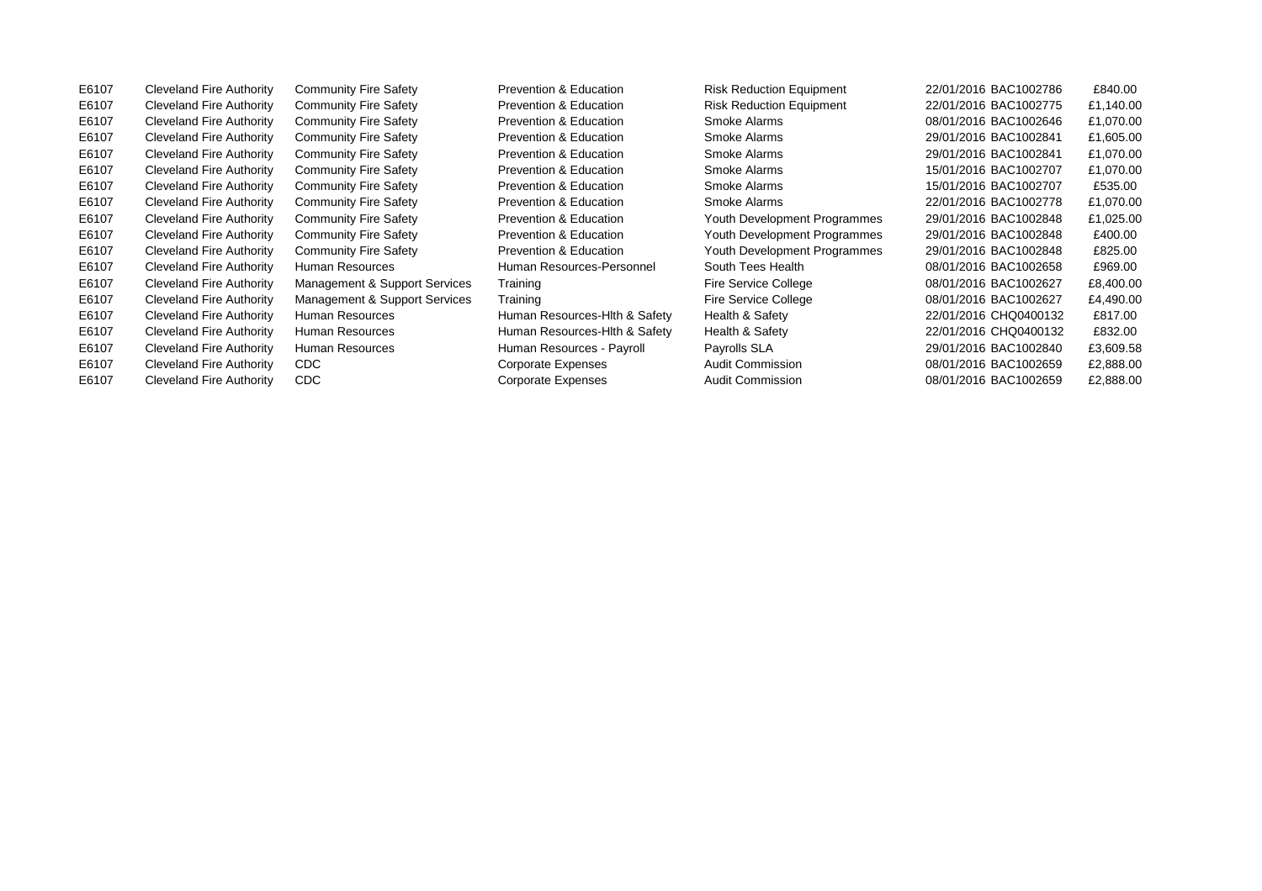E6107 Cleveland Fire Authority Community Fire Safety Prevention & Education Risk Reduction Equipment 22/01/2016 BAC1002775 £1,140.00 E6107 Cleveland Fire Authority Community Fire Safety Prevention & Education Smoke Alarms 08/01/2016 BAC1002646 £1,070.00 E6107 Cleveland Fire Authority Community Fire Safety Prevention & Education Smoke Alarms 29/01/2016 BAC1002841 £1,605.00 E6107 Cleveland Fire Authority Community Fire Safety Prevention & Education Smoke Alarms 29/01/2016 BAC1002841 £1,070.00 E6107 Cleveland Fire Authority Community Fire Safety Prevention & Education Smoke Alarms 15/01/2016 BAC1002707 £1,070.00 E6107 Cleveland Fire Authority Community Fire Safety Prevention & Education Smoke Alarms 15/01/2016 BAC1002707 £535.00 E6107 Cleveland Fire Authority Community Fire Safety Prevention & Education Smoke Alarms 22/01/2016 BAC1002778 £1,070.00 E6107 Cleveland Fire Authority Community Fire Safety Prevention & Education Youth Development Programmes 29/01/2016 BAC1002848 £1,025.00 E6107 Cleveland Fire Authority Community Fire Safety Prevention & Education Youth Development Programmes 29/01/2016 BAC1002848 £400.00 E6107 Cleveland Fire Authority Community Fire Safety Prevention & Education Youth Development Programmes 29/01/2016 BAC1002848 £825.00 E6107 Cleveland Fire Authority Human Resources Human Resources-Personnel South Tees Health 08/01/2016 BAC1002658 £969.00 E6107 Cleveland Fire Authority Management & Support Services Training Fire Service College 08/01/2016 BAC1002627 £8,400.00 E6107 Cleveland Fire Authority Management & Support Services Training Fire Service College 68/01/2016 BAC1002627 £4,490.00 E6107 Cleveland Fire Authority Human Resources Human Resources-Hlth & Safety Health & Safety 22/01/2016 CHQ0400132 £817.00 E6107 Cleveland Fire Authority Human Resources Human Resources-Hlth & Safety Health & Safety 22/01/2016 CHQ0400132 £832.00 E6107 Cleveland Fire Authority Human Resources Human Resources - Payroll Payrolls SLA 29/01/2016 BAC1002840 £3,609.58 E6107 Cleveland Fire Authority CDC Corporate Expenses Audit Commission 08/01/2016 BAC1002659 £2,888.00 E6107 Cleveland Fire Authority CDC Corporate Expenses Audit Commission 08/01/2016 BAC1002659 £2,888.00

E6107 Cleveland Fire Authority Community Fire Safety Prevention & Education Risk Reduction Equipment 22/01/2016 BAC1002786 £840.00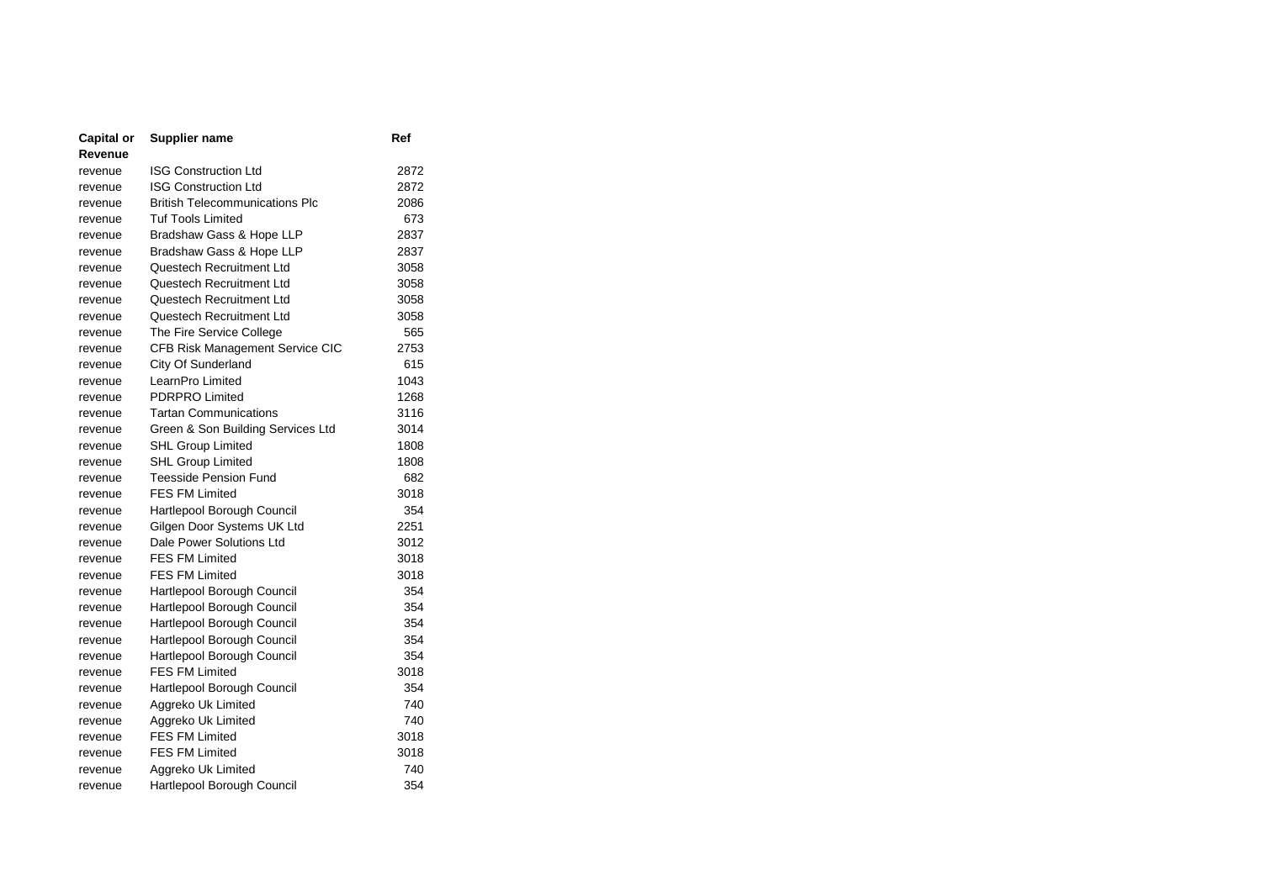| Capital or | <b>Supplier name</b>                   | Ref  |
|------------|----------------------------------------|------|
| Revenue    |                                        |      |
| revenue    | <b>ISG Construction Ltd</b>            | 2872 |
| revenue    | <b>ISG Construction Ltd</b>            | 2872 |
| revenue    | <b>British Telecommunications Plc</b>  | 2086 |
| revenue    | <b>Tuf Tools Limited</b>               | 673  |
| revenue    | Bradshaw Gass & Hope LLP               | 2837 |
| revenue    | Bradshaw Gass & Hope LLP               | 2837 |
| revenue    | Questech Recruitment Ltd               | 3058 |
| revenue    | Questech Recruitment Ltd               | 3058 |
| revenue    | Questech Recruitment Ltd               | 3058 |
| revenue    | Questech Recruitment Ltd               | 3058 |
| revenue    | The Fire Service College               | 565  |
| revenue    | <b>CFB Risk Management Service CIC</b> | 2753 |
| revenue    | City Of Sunderland                     | 615  |
| revenue    | LearnPro Limited                       | 1043 |
| revenue    | PDRPRO Limited                         | 1268 |
| revenue    | <b>Tartan Communications</b>           | 3116 |
| revenue    | Green & Son Building Services Ltd      | 3014 |
| revenue    | SHL Group Limited                      | 1808 |
| revenue    | <b>SHL Group Limited</b>               | 1808 |
| revenue    | <b>Teesside Pension Fund</b>           | 682  |
| revenue    | <b>FES FM Limited</b>                  | 3018 |
| revenue    | Hartlepool Borough Council             | 354  |
| revenue    | Gilgen Door Systems UK Ltd             | 2251 |
| revenue    | Dale Power Solutions Ltd               | 3012 |
| revenue    | <b>FES FM Limited</b>                  | 3018 |
| revenue    | <b>FES FM Limited</b>                  | 3018 |
| revenue    | Hartlepool Borough Council             | 354  |
| revenue    | Hartlepool Borough Council             | 354  |
| revenue    | Hartlepool Borough Council             | 354  |
| revenue    | Hartlepool Borough Council             | 354  |
| revenue    | Hartlepool Borough Council             | 354  |
| revenue    | <b>FES FM Limited</b>                  | 3018 |
| revenue    | Hartlepool Borough Council             | 354  |
| revenue    | Aggreko Uk Limited                     | 740  |
| revenue    | Aggreko Uk Limited                     | 740  |
| revenue    | <b>FES FM Limited</b>                  | 3018 |
| revenue    | <b>FES FM Limited</b>                  | 3018 |
| revenue    | Aggreko Uk Limited                     | 740  |
| revenue    | Hartlepool Borough Council             | 354  |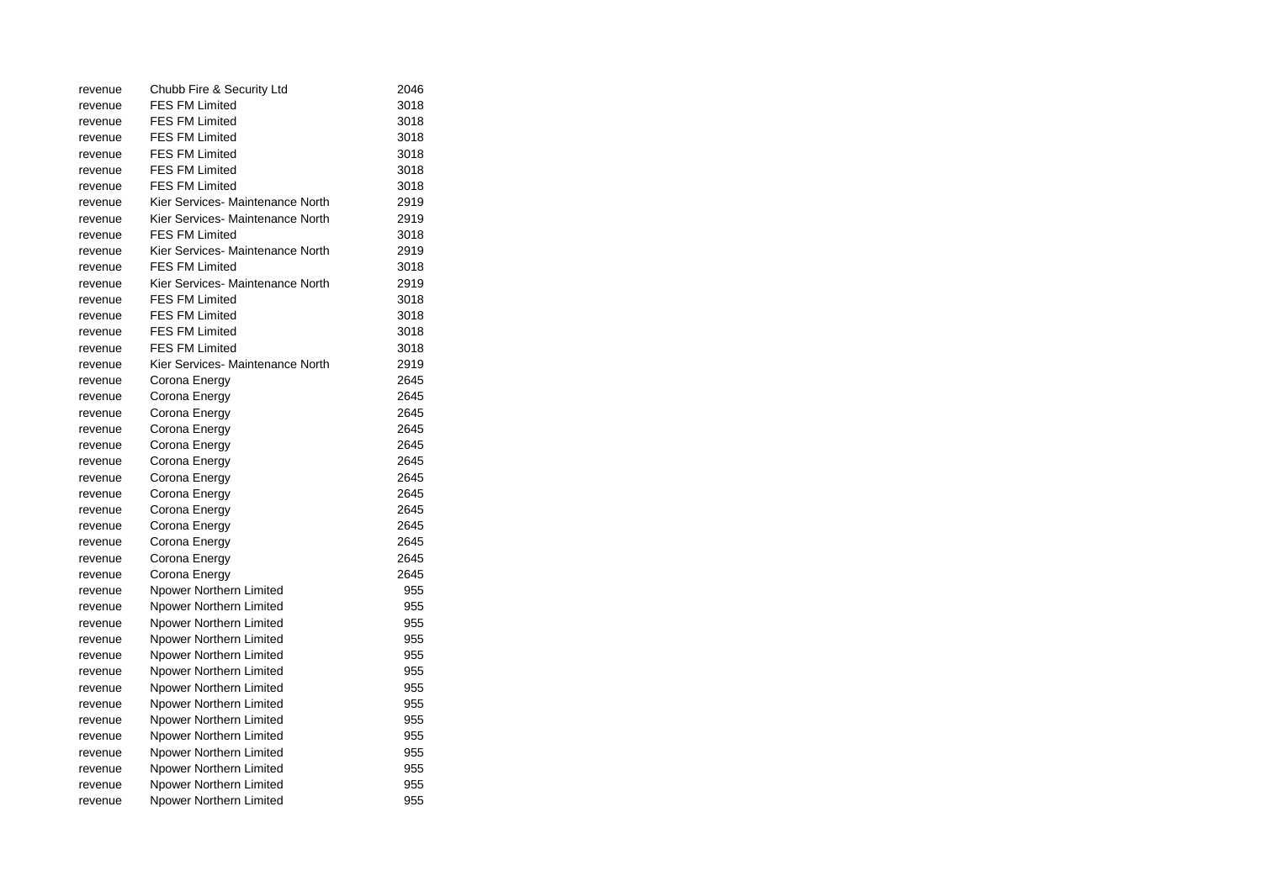| revenue | Chubb Fire & Security Ltd        | 2046 |
|---------|----------------------------------|------|
| revenue | FES FM Limited                   | 3018 |
| revenue | <b>FES FM Limited</b>            | 3018 |
| revenue | <b>FES FM Limited</b>            | 3018 |
| revenue | <b>FES FM Limited</b>            | 3018 |
| revenue | FES FM Limited                   | 3018 |
| revenue | <b>FES FM Limited</b>            | 3018 |
| revenue | Kier Services- Maintenance North | 2919 |
| revenue | Kier Services- Maintenance North | 2919 |
| revenue | <b>FES FM Limited</b>            | 3018 |
| revenue | Kier Services- Maintenance North | 2919 |
| revenue | <b>FES FM Limited</b>            | 3018 |
| revenue | Kier Services- Maintenance North | 2919 |
| revenue | <b>FES FM Limited</b>            | 3018 |
| revenue | <b>FES FM Limited</b>            | 3018 |
| revenue | <b>FES FM Limited</b>            | 3018 |
| revenue | <b>FES FM Limited</b>            | 3018 |
| revenue | Kier Services- Maintenance North | 2919 |
| revenue | Corona Energy                    | 2645 |
| revenue | Corona Energy                    | 2645 |
| revenue | Corona Energy                    | 2645 |
| revenue | Corona Energy                    | 2645 |
| revenue | Corona Energy                    | 2645 |
| revenue | Corona Energy                    | 2645 |
| revenue | Corona Energy                    | 2645 |
| revenue | Corona Energy                    | 2645 |
| revenue | Corona Energy                    | 2645 |
| revenue | Corona Energy                    | 2645 |
| revenue | Corona Energy                    | 2645 |
| revenue | Corona Energy                    | 2645 |
| revenue | Corona Energy                    | 2645 |
| revenue | Npower Northern Limited          | 955  |
| revenue | Npower Northern Limited          | 955  |
| revenue | Npower Northern Limited          | 955  |
| revenue | Npower Northern Limited          | 955  |
| revenue | Npower Northern Limited          | 955  |
| revenue | Npower Northern Limited          | 955  |
| revenue | Npower Northern Limited          | 955  |
| revenue | Npower Northern Limited          | 955  |
| revenue | Npower Northern Limited          | 955  |
| revenue | Npower Northern Limited          | 955  |
| revenue | Npower Northern Limited          | 955  |
| revenue | Npower Northern Limited          | 955  |
| revenue | Npower Northern Limited          | 955  |
| revenue | Npower Northern Limited          | 955  |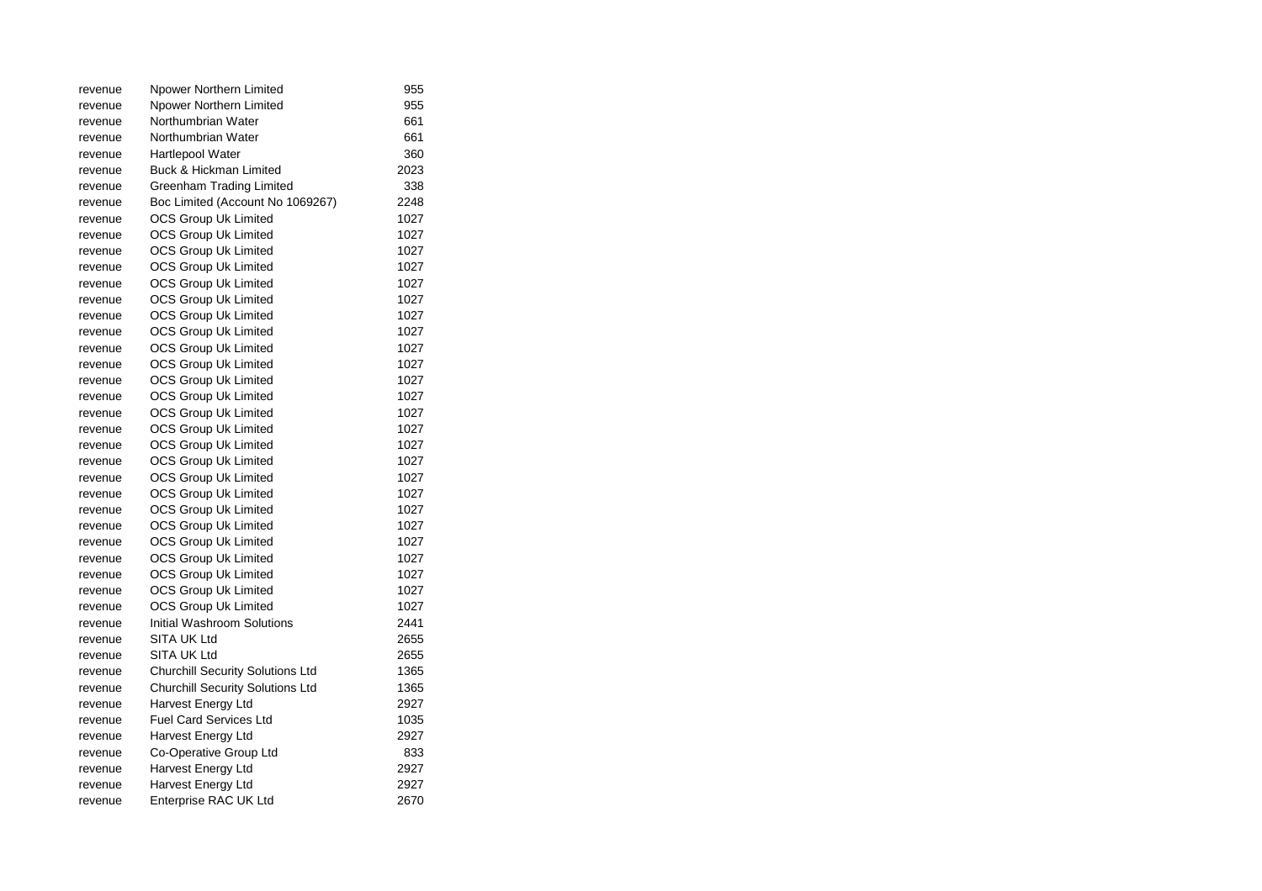| revenue | Npower Northern Limited                 | 955  |  |
|---------|-----------------------------------------|------|--|
| revenue | Npower Northern Limited                 | 955  |  |
| revenue | Northumbrian Water                      | 661  |  |
| revenue | Northumbrian Water                      | 661  |  |
| revenue | <b>Hartlepool Water</b>                 | 360  |  |
| revenue | Buck & Hickman Limited                  | 2023 |  |
| revenue | Greenham Trading Limited                | 338  |  |
| revenue | Boc Limited (Account No 1069267)        | 2248 |  |
| revenue | OCS Group Uk Limited                    | 1027 |  |
| revenue | <b>OCS Group Uk Limited</b>             | 1027 |  |
| revenue | <b>OCS Group Uk Limited</b>             | 1027 |  |
| revenue | OCS Group Uk Limited                    | 1027 |  |
| revenue | <b>OCS Group Uk Limited</b>             | 1027 |  |
| revenue | <b>OCS Group Uk Limited</b>             | 1027 |  |
| revenue | <b>OCS Group Uk Limited</b>             | 1027 |  |
| revenue | <b>OCS Group Uk Limited</b>             | 1027 |  |
| revenue | <b>OCS Group Uk Limited</b>             | 1027 |  |
| revenue | <b>OCS Group Uk Limited</b>             | 1027 |  |
| revenue | <b>OCS Group Uk Limited</b>             | 1027 |  |
| revenue | OCS Group Uk Limited                    | 1027 |  |
| revenue | <b>OCS Group Uk Limited</b>             | 1027 |  |
| revenue | <b>OCS Group Uk Limited</b>             | 1027 |  |
| revenue | <b>OCS Group Uk Limited</b>             | 1027 |  |
| revenue | OCS Group Uk Limited                    | 1027 |  |
| revenue | <b>OCS Group Uk Limited</b>             | 1027 |  |
| revenue | <b>OCS Group Uk Limited</b>             | 1027 |  |
| revenue | <b>OCS Group Uk Limited</b>             | 1027 |  |
| revenue | <b>OCS Group Uk Limited</b>             | 1027 |  |
| revenue | <b>OCS Group Uk Limited</b>             | 1027 |  |
| revenue | OCS Group Uk Limited                    | 1027 |  |
| revenue | OCS Group Uk Limited                    | 1027 |  |
| revenue | <b>OCS Group Uk Limited</b>             | 1027 |  |
| revenue | <b>OCS Group Uk Limited</b>             | 1027 |  |
| revenue | Initial Washroom Solutions              | 2441 |  |
| revenue | SITA UK Ltd                             | 2655 |  |
| revenue | SITA UK Ltd                             | 2655 |  |
| revenue | <b>Churchill Security Solutions Ltd</b> | 1365 |  |
| revenue | <b>Churchill Security Solutions Ltd</b> | 1365 |  |
| revenue | Harvest Energy Ltd                      | 2927 |  |
| revenue | <b>Fuel Card Services Ltd</b>           | 1035 |  |
| revenue | Harvest Energy Ltd                      | 2927 |  |
| revenue | Co-Operative Group Ltd                  | 833  |  |
| revenue | Harvest Energy Ltd                      | 2927 |  |
| revenue | Harvest Energy Ltd                      | 2927 |  |
| revenue | Enterprise RAC UK Ltd                   | 2670 |  |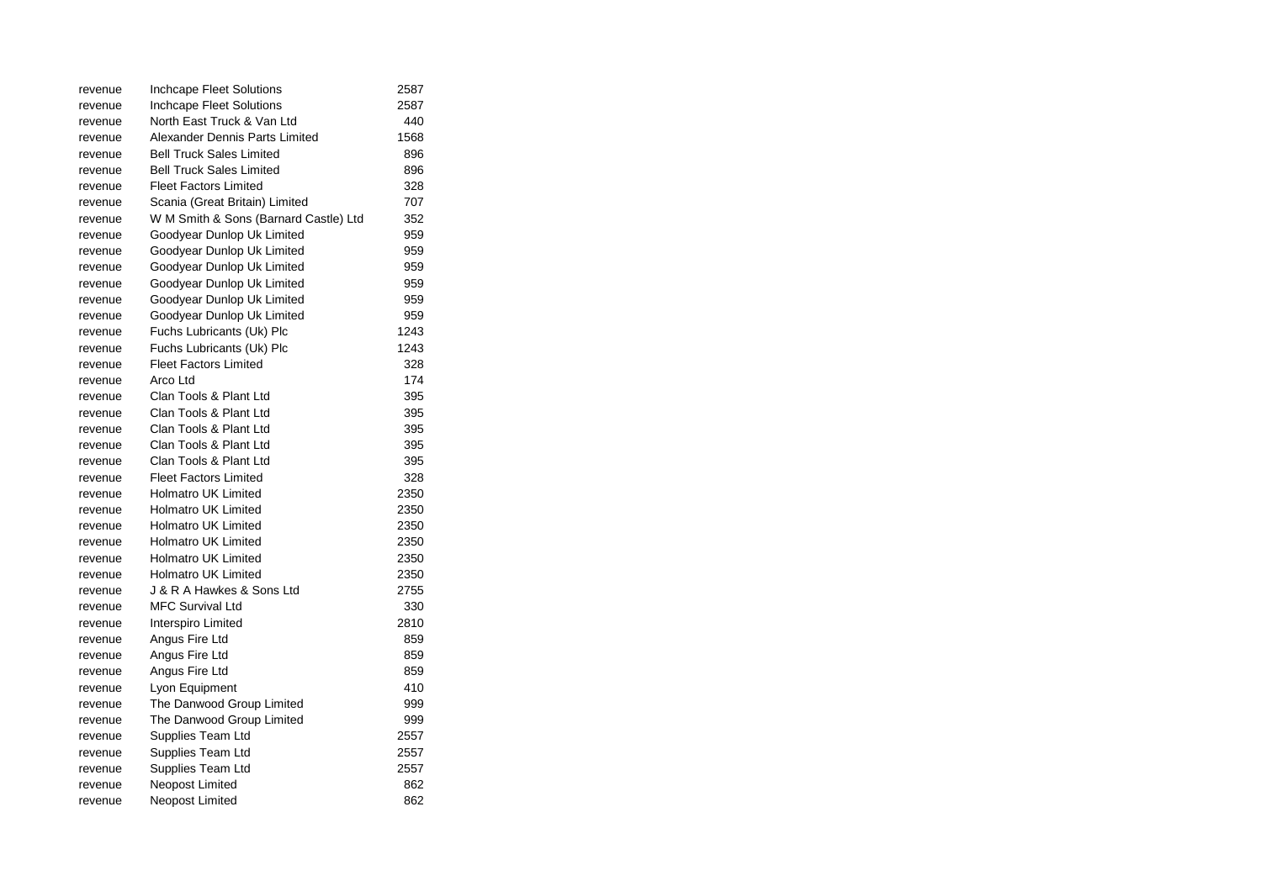| revenue | Inchcape Fleet Solutions              | 2587 |
|---------|---------------------------------------|------|
| revenue | Inchcape Fleet Solutions              | 2587 |
| revenue | North East Truck & Van Ltd            | 440  |
| revenue | Alexander Dennis Parts Limited        | 1568 |
| revenue | <b>Bell Truck Sales Limited</b>       | 896  |
| revenue | <b>Bell Truck Sales Limited</b>       | 896  |
| revenue | <b>Fleet Factors Limited</b>          | 328  |
| revenue | Scania (Great Britain) Limited        | 707  |
| revenue | W M Smith & Sons (Barnard Castle) Ltd | 352  |
| revenue | Goodyear Dunlop Uk Limited            | 959  |
| revenue | Goodyear Dunlop Uk Limited            | 959  |
| revenue | Goodyear Dunlop Uk Limited            | 959  |
| revenue | Goodyear Dunlop Uk Limited            | 959  |
| revenue | Goodyear Dunlop Uk Limited            | 959  |
| revenue | Goodyear Dunlop Uk Limited            | 959  |
| revenue | Fuchs Lubricants (Uk) Plc             | 1243 |
| revenue | Fuchs Lubricants (Uk) Plc             | 1243 |
| revenue | <b>Fleet Factors Limited</b>          | 328  |
| revenue | Arco Ltd                              | 174  |
| revenue | Clan Tools & Plant Ltd                | 395  |
| revenue | Clan Tools & Plant Ltd                | 395  |
| revenue | Clan Tools & Plant Ltd                | 395  |
| revenue | Clan Tools & Plant Ltd                | 395  |
| revenue | Clan Tools & Plant Ltd                | 395  |
| revenue | <b>Fleet Factors Limited</b>          | 328  |
| revenue | <b>Holmatro UK Limited</b>            | 2350 |
| revenue | <b>Holmatro UK Limited</b>            | 2350 |
| revenue | <b>Holmatro UK Limited</b>            | 2350 |
| revenue | <b>Holmatro UK Limited</b>            | 2350 |
| revenue | <b>Holmatro UK Limited</b>            | 2350 |
| revenue | <b>Holmatro UK Limited</b>            | 2350 |
| revenue | J & R A Hawkes & Sons Ltd             | 2755 |
| revenue | <b>MFC Survival Ltd</b>               | 330  |
| revenue | Interspiro Limited                    | 2810 |
| revenue | Angus Fire Ltd                        | 859  |
| revenue | Angus Fire Ltd                        | 859  |
| revenue | Angus Fire Ltd                        | 859  |
| revenue | Lyon Equipment                        | 410  |
| revenue | The Danwood Group Limited             | 999  |
| revenue | The Danwood Group Limited             | 999  |
| revenue | Supplies Team Ltd                     | 2557 |
| revenue | Supplies Team Ltd                     | 2557 |
| revenue | Supplies Team Ltd                     | 2557 |
| revenue | Neopost Limited                       | 862  |
| revenue | Neopost Limited                       | 862  |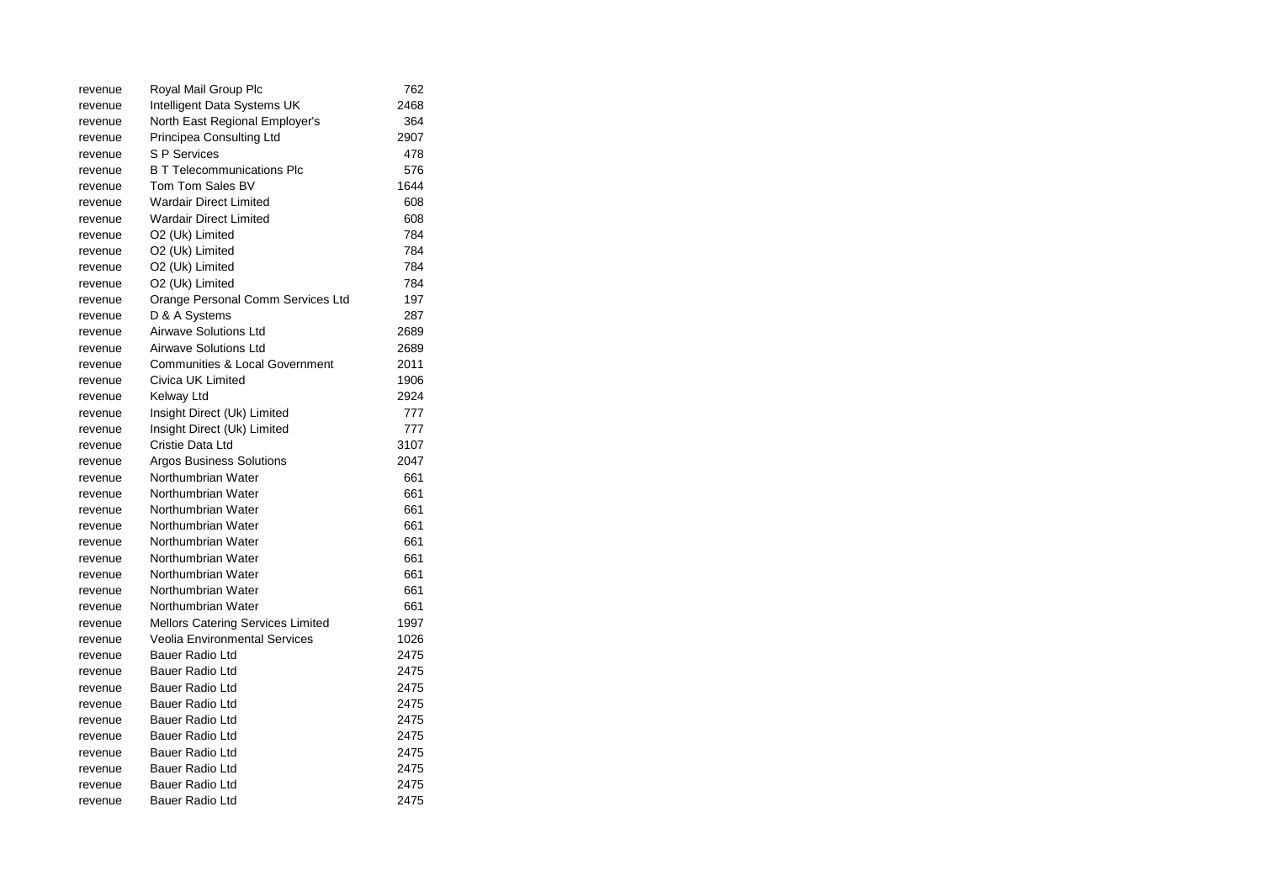| revenue | Royal Mail Group Plc                      | 762  |
|---------|-------------------------------------------|------|
| revenue | Intelligent Data Systems UK               | 2468 |
| revenue | North East Regional Employer's            | 364  |
| revenue | Principea Consulting Ltd                  | 2907 |
| revenue | S P Services                              | 478  |
| revenue | <b>B T Telecommunications Plc</b>         | 576  |
| revenue | Tom Tom Sales BV                          | 1644 |
| revenue | <b>Wardair Direct Limited</b>             | 608  |
| revenue | <b>Wardair Direct Limited</b>             | 608  |
| revenue | O2 (Uk) Limited                           | 784  |
| revenue | O2 (Uk) Limited                           | 784  |
| revenue | O2 (Uk) Limited                           | 784  |
| revenue | O2 (Uk) Limited                           | 784  |
| revenue | Orange Personal Comm Services Ltd         | 197  |
| revenue | D & A Systems                             | 287  |
| revenue | <b>Airwave Solutions Ltd</b>              | 2689 |
| revenue | Airwave Solutions Ltd                     | 2689 |
| revenue | <b>Communities &amp; Local Government</b> | 2011 |
| revenue | Civica UK Limited                         | 1906 |
| revenue | Kelway Ltd                                | 2924 |
| revenue | Insight Direct (Uk) Limited               | 777  |
| revenue | Insight Direct (Uk) Limited               | 777  |
| revenue | Cristie Data Ltd                          | 3107 |
| revenue | <b>Argos Business Solutions</b>           | 2047 |
| revenue | Northumbrian Water                        | 661  |
| revenue | Northumbrian Water                        | 661  |
| revenue | Northumbrian Water                        | 661  |
| revenue | Northumbrian Water                        | 661  |
| revenue | Northumbrian Water                        | 661  |
| revenue | Northumbrian Water                        | 661  |
| revenue | Northumbrian Water                        | 661  |
| revenue | Northumbrian Water                        | 661  |
| revenue | Northumbrian Water                        | 661  |
| revenue | <b>Mellors Catering Services Limited</b>  | 1997 |
| revenue | Veolia Environmental Services             | 1026 |
| revenue | Bauer Radio Ltd                           | 2475 |
| revenue | Bauer Radio Ltd                           | 2475 |
| revenue | Bauer Radio Ltd                           | 2475 |
| revenue | Bauer Radio Ltd                           | 2475 |
| revenue | Bauer Radio Ltd                           | 2475 |
| revenue | <b>Bauer Radio Ltd</b>                    | 2475 |
| revenue | Bauer Radio Ltd                           | 2475 |
| revenue | Bauer Radio Ltd                           | 2475 |
| revenue | <b>Bauer Radio Ltd</b>                    | 2475 |
| revenue | Bauer Radio Ltd                           | 2475 |